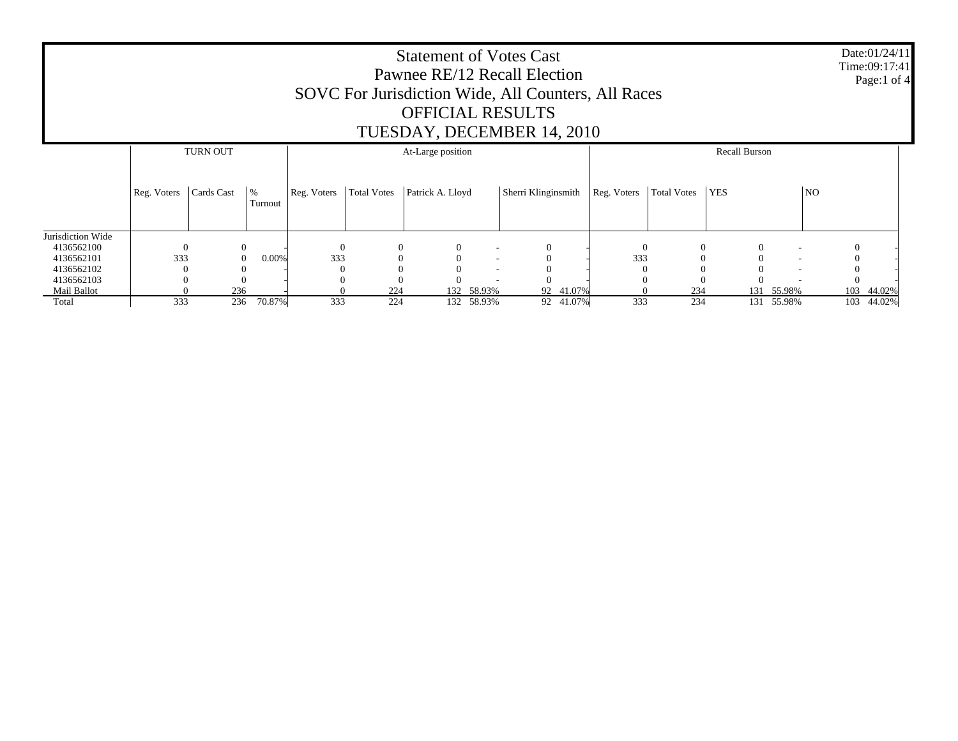| <b>Statement of Votes Cast</b><br>Pawnee RE/12 Recall Election<br>SOVC For Jurisdiction Wide, All Counters, All Races<br><b>OFFICIAL RESULTS</b><br>TUESDAY, DECEMBER 14, 2010 |                                      |            |                       |             |                    |                  |                          |                     |           |             |                      |            | Date:01/24/11<br>Time:09:17:41<br>Page:1 of 4 |                |               |
|--------------------------------------------------------------------------------------------------------------------------------------------------------------------------------|--------------------------------------|------------|-----------------------|-------------|--------------------|------------------|--------------------------|---------------------|-----------|-------------|----------------------|------------|-----------------------------------------------|----------------|---------------|
|                                                                                                                                                                                | <b>TURN OUT</b><br>At-Large position |            |                       |             |                    |                  |                          |                     |           |             | <b>Recall Burson</b> |            |                                               |                |               |
|                                                                                                                                                                                | Reg. Voters                          | Cards Cast | %<br>Turnout          | Reg. Voters | <b>Total Votes</b> | Patrick A. Lloyd |                          | Sherri Klinginsmith |           | Reg. Voters | <b>Total Votes</b>   | <b>YES</b> |                                               | N <sub>O</sub> |               |
| Jurisdiction Wide                                                                                                                                                              |                                      |            |                       |             |                    |                  |                          |                     |           |             |                      |            |                                               |                |               |
| 4136562100                                                                                                                                                                     | $\Omega$                             |            | $\overline{0}$        | $\Omega$    | $\mathbf{0}$       | $\Omega$         | ۰                        |                     |           | $\Omega$    | $\overline{0}$       |            | $\Omega$                                      |                |               |
| 4136562101                                                                                                                                                                     | 333                                  |            | 0.00%<br>$\mathbf{0}$ | 333         |                    |                  | $\overline{\phantom{a}}$ |                     |           | 333         | $\Omega$             |            |                                               |                |               |
| 4136562102                                                                                                                                                                     |                                      |            |                       |             |                    |                  |                          |                     |           |             |                      |            |                                               |                |               |
| 4136562103                                                                                                                                                                     |                                      |            |                       |             |                    |                  |                          |                     |           |             |                      |            |                                               |                |               |
| Mail Ballot                                                                                                                                                                    |                                      | 236        |                       |             | 224                | 132              | 58.93%                   |                     | 92 41.07% |             | 234                  | 131        | 55.98%                                        |                | 103<br>44.02% |
| Total                                                                                                                                                                          | 333                                  | 236        | 70.87%                | 333         | 224                | 132              | 58.93%                   |                     | 92 41.07% | 333         | 234                  |            | 131 55.98%                                    |                | 103 44.02%    |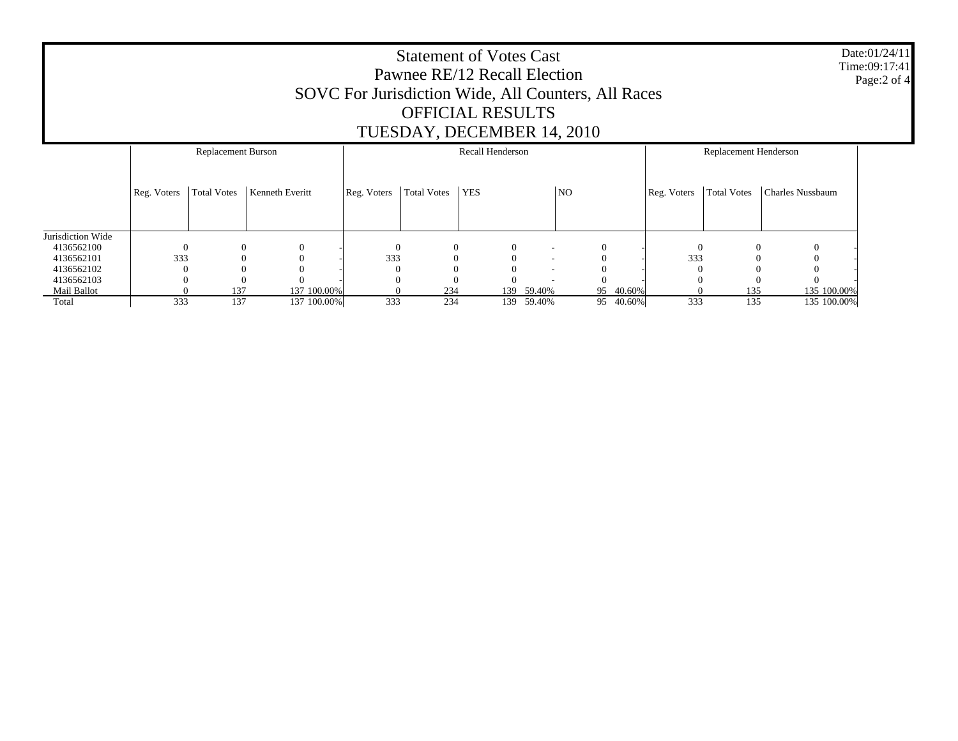Date:01/24/11 Time:09:17:41 Page:2 of 4

## Statement of Votes Cast Pawnee RE/12 Recall Election SOVC For Jurisdiction Wide, All Counters, All Races OFFICIAL RESULTS TUESDAY, DECEMBER 14, 2010

|                   |             | Replacement Burson |                 | Recall Henderson |                    |            |                          |          |           | Replacement Henderson |                    |                  |  |
|-------------------|-------------|--------------------|-----------------|------------------|--------------------|------------|--------------------------|----------|-----------|-----------------------|--------------------|------------------|--|
|                   | Reg. Voters | <b>Total Votes</b> | Kenneth Everitt | Reg. Voters      | <b>Total Votes</b> | <b>YES</b> |                          | NO       |           | Reg. Voters           | <b>Total Votes</b> | Charles Nussbaum |  |
| Jurisdiction Wide |             |                    |                 |                  |                    |            |                          |          |           |                       |                    |                  |  |
|                   |             |                    |                 |                  |                    |            |                          |          |           |                       |                    |                  |  |
| 4136562100        |             | $\Omega$           | $\Omega$        | $\Omega$         | $\theta$           | $\theta$   | ۰                        | $\Omega$ |           | $\Omega$              | $\Omega$           | $\theta$         |  |
| 4136562101        | 333         |                    |                 | 333              |                    | $\Omega$   | $\overline{\phantom{a}}$ | $\Omega$ |           | 333                   |                    |                  |  |
| 4136562102        |             |                    |                 |                  |                    | $\Omega$   | $\overline{\phantom{a}}$ |          |           |                       |                    |                  |  |
| 4136562103        |             |                    | $\Omega$        |                  |                    | $\Omega$   |                          | $\Omega$ |           |                       |                    | $\Omega$         |  |
| Mail Ballot       |             | 137                | 137 100.00%     |                  | 234                |            | 139 59.40%               |          | 95 40.60% |                       | 135                | 135 100.00%      |  |
| Total             | 333         | 137                | 137 100.00%     | 333              | 234                | 139        | 59.40%                   |          | 95 40.60% | 333                   | 135                | 135 100.00%      |  |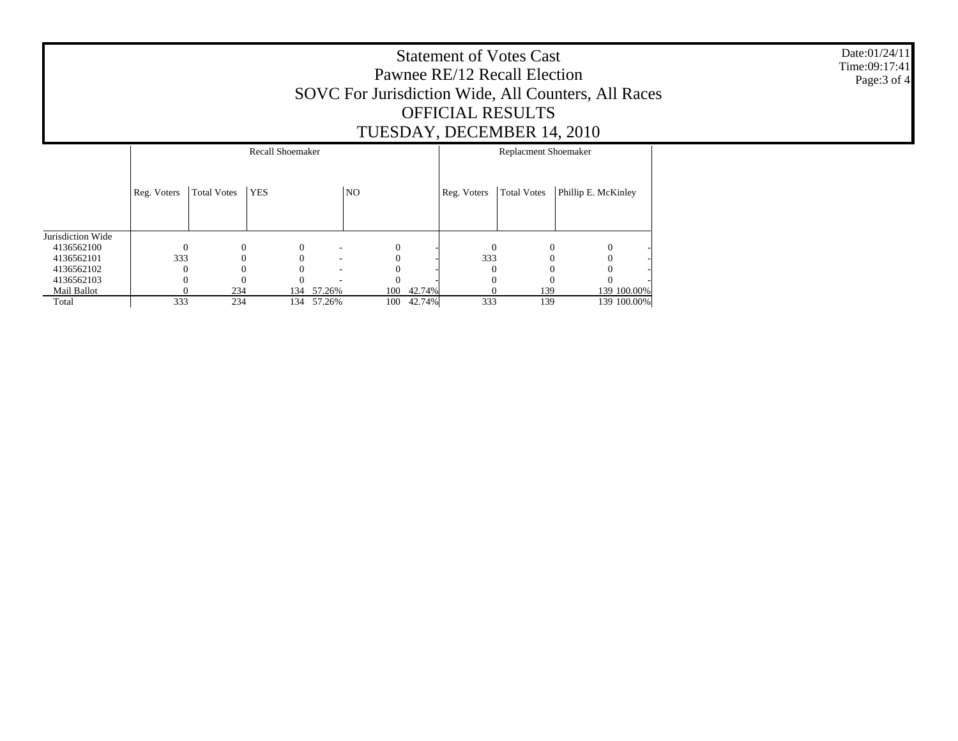Date:01/24/11 Time:09:17:41 Page:3 of 4

## Statement of Votes Cast Pawnee RE/12 Recall Election SOVC For Jurisdiction Wide, All Counters, All Races OFFICIAL RESULTS TUESDAY, DECEMBER 14, 2010

|                   |             |                    | <b>Recall Shoemaker</b> | Replacment Shoemaker |                |        |             |                    |                     |
|-------------------|-------------|--------------------|-------------------------|----------------------|----------------|--------|-------------|--------------------|---------------------|
|                   | Reg. Voters | <b>Total Votes</b> | <b>YES</b>              |                      | N <sub>O</sub> |        | Reg. Voters | <b>Total Votes</b> | Phillip E. McKinley |
| Jurisdiction Wide |             |                    |                         |                      |                |        |             |                    |                     |
| 4136562100        |             | $\Omega$           |                         |                      | $\Omega$       |        | $\theta$    |                    | $\Omega$            |
| 4136562101        | 333         |                    |                         | -                    |                |        | 333         |                    |                     |
| 4136562102        |             |                    |                         |                      |                |        |             |                    | 0                   |
| 4136562103        |             |                    |                         |                      |                |        |             |                    |                     |
| Mail Ballot       |             | 234                | 134                     | 57.26%               | 100            | 42.74% |             | 139                | 139 100.00%         |
| Total             | 333         | 234                | 134                     | 57.26%               | 100            | 42.74% | 333         | 139                | 139 100.00%         |